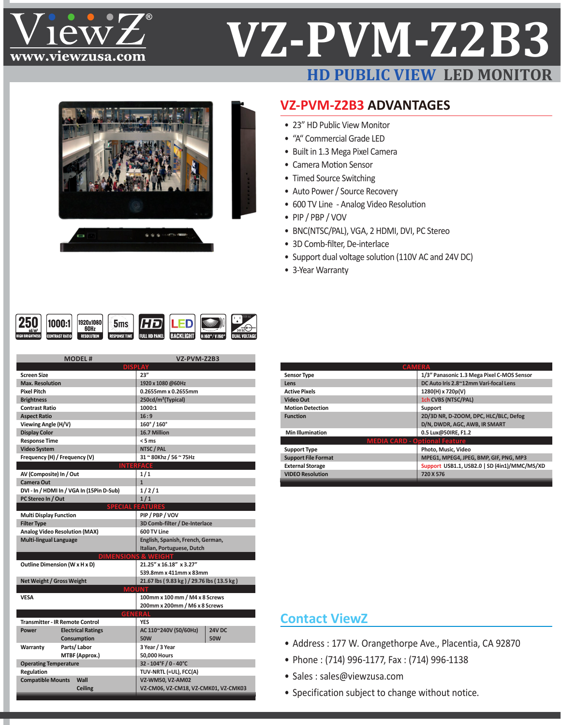

# **VZ-PVM-Z2B3 HD PUBLIC VIEW LED MONITO**



### **VZ-PVM-Z2B3 ADVANTAGES**

- 23" HD Public View Monitor
- • "A" Commercial Grade LED
- Built in 1.3 Mega Pixel Camera
- Camera Motion Sensor
- Timed Source Switching
- Auto Power / Source Recovery
- 600 TV Line Analog Video Resolution
- • PIP / PBP / VOV
- BNC(NTSC/PAL), VGA, 2 HDMI, DVI, PC Stereo
- 3D Comb-filter, De-interlace
- Support dual voltage solution (110V AC and 24V DC)
- 3-Year Warranty

| <b>BACKLIGHT</b><br><b>FULL HD PANEL</b><br>H 160°/ V 160°<br><b>RESPONSE TIME</b><br>ATTEH<br><b>RESOLUTION</b><br>m | $\text{cd}/\text{m}^2$ | 60Hz |  |  |  |  | <b>DUAL VOLTAGE</b> |
|-----------------------------------------------------------------------------------------------------------------------|------------------------|------|--|--|--|--|---------------------|
|-----------------------------------------------------------------------------------------------------------------------|------------------------|------|--|--|--|--|---------------------|

|                                  | <b>MODEL#</b>                             | VZ-PVM-Z2B3                               |        |  |
|----------------------------------|-------------------------------------------|-------------------------------------------|--------|--|
|                                  |                                           |                                           |        |  |
| <b>Screen Size</b>               |                                           | 23''                                      |        |  |
| <b>Max. Resolution</b>           |                                           | 1920 x 1080 @60Hz                         |        |  |
| <b>Pixel Pitch</b>               |                                           | 0.2655mm x 0.2655mm                       |        |  |
| <b>Brightness</b>                |                                           | 250cd/m <sup>2</sup> (Typical)            |        |  |
| <b>Contrast Ratio</b>            |                                           | 1000:1                                    |        |  |
| <b>Aspect Ratio</b>              |                                           | 16:9                                      |        |  |
| Viewing Angle (H/V)              |                                           | 160°/160°                                 |        |  |
| <b>Display Color</b>             |                                           | 16.7 Million                              |        |  |
| <b>Response Time</b>             |                                           | $< 5$ ms                                  |        |  |
| <b>Video System</b>              |                                           | NTSC / PAL                                |        |  |
| Frequency (H) / Frequency (V)    |                                           | 31 ~ 80Khz / 56 ~ 75Hz                    |        |  |
|                                  |                                           | <b>INTERFACE</b>                          |        |  |
| AV (Composite) In / Out          |                                           | 1/1                                       |        |  |
| <b>Camera Out</b>                |                                           | $\mathbf{1}$                              |        |  |
|                                  | DVI - In / HDMI In / VGA In (15Pin D-Sub) | 1/2/1                                     |        |  |
| PC Stereo In / Out               |                                           | 1/1                                       |        |  |
|                                  | <b>SPECIAL</b>                            | <b>EATURES</b>                            |        |  |
| <b>Multi Display Function</b>    |                                           | PIP / PBP / VOV                           |        |  |
| <b>Filter Type</b>               |                                           | 3D Comb-filter / De-Interlace             |        |  |
|                                  | <b>Analog Video Resolution (MAX)</b>      | 600 TV Line                               |        |  |
| <b>Multi-lingual Language</b>    |                                           | English, Spanish, French, German,         |        |  |
|                                  |                                           | Italian, Portuguese, Dutch                |        |  |
|                                  | <b>DIMENSIONS &amp; WEIGHT</b>            |                                           |        |  |
|                                  | Outline Dimension (W x H x D)             | 21.25" x 16.18" x 3.27"                   |        |  |
|                                  |                                           | 539.8mm x 411mm x 83mm                    |        |  |
| Net Weight / Gross Weight        |                                           | 21.67 lbs (9.83 kg) / 29.76 lbs (13.5 kg) |        |  |
|                                  | <b>MOUNT</b>                              |                                           |        |  |
| <b>VESA</b>                      |                                           | 100mm x 100 mm / M4 x 8 Screws            |        |  |
|                                  |                                           | 200mm x 200mm / M6 x 8 Screws             |        |  |
|                                  |                                           | <b>GENERAL</b>                            |        |  |
|                                  | <b>Transmitter - IR Remote Control</b>    | <b>YES</b>                                |        |  |
| Power                            | <b>Electrical Ratings</b>                 | AC 110~240V (50/60Hz)                     | 24V DC |  |
|                                  | Consumption                               | <b>50W</b>                                | 50W    |  |
| Warranty                         | Parts/Labor                               | 3 Year / 3 Year                           |        |  |
|                                  | MTBF (Approx.)                            | <b>50.000 Hours</b>                       |        |  |
| <b>Operating Temperature</b>     |                                           | 32 - 104°F / 0 - 40°C                     |        |  |
| Regulation                       |                                           | TUV-NRTL (=UL), FCC(A)                    |        |  |
| <b>Compatible Mounts</b><br>Wall |                                           | <b>VZ-WM50, VZ-AM02</b>                   |        |  |
|                                  | <b>Ceiling</b>                            | VZ-CM06, VZ-CM18, VZ-CMK01, VZ-CMK03      |        |  |
|                                  |                                           |                                           |        |  |

| <b>CAMERA</b>                        |                                              |
|--------------------------------------|----------------------------------------------|
| <b>Sensor Type</b>                   | 1/3" Panasonic 1.3 Mega Pixel C-MOS Sensor   |
| Lens                                 | DC Auto Iris 2.8~12mm Vari-focal Lens        |
| <b>Active Pixels</b>                 | 1280(H) x 720p(V)                            |
| <b>Video Out</b>                     | 1ch CVBS (NTSC/PAL)                          |
| <b>Motion Detection</b>              | Support                                      |
| <b>Function</b>                      | 2D/3D NR, D-ZOOM, DPC, HLC/BLC, Defog        |
|                                      | D/N, DWDR, AGC, AWB, IR SMART                |
| <b>Min Illumination</b>              | 0.5 Lux@50IRE, F1.2                          |
| <b>MEDIA CARD - Optional Feature</b> |                                              |
| <b>Support Type</b>                  | Photo, Music, Video                          |
| <b>Support File Format</b>           | MPEG1, MPEG4, JPEG, BMP, GIF, PNG, MP3       |
| <b>External Storage</b>              | Support USB1.1, USB2.0   SD (4in1)/MMC/MS/XD |
| <b>VIDEO Resolution</b>              | 720 X 576                                    |
|                                      |                                              |

### **Contact ViewZ**

- Address : 177 W. Orangethorpe Ave., Placentia, CA 92870
- • Phone : (714) 996-1177, Fax : (714) 996-1138
- • Sales : [sales@viewzusa.com](mailto:sales@viewzusa.com)
- Specification subject to change without notice.